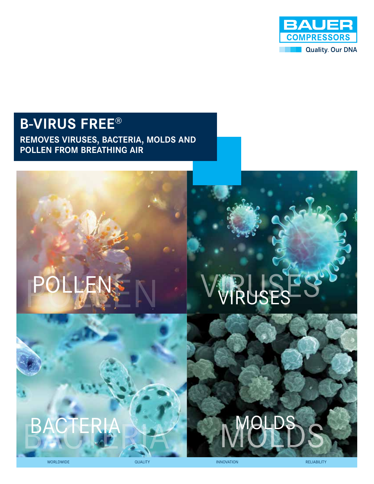

# **B-VIRUS FREE**®

**REMOVES VIRUSES, BACTERIA, MOLDS AND POLLEN FROM BREATHING AIR** 

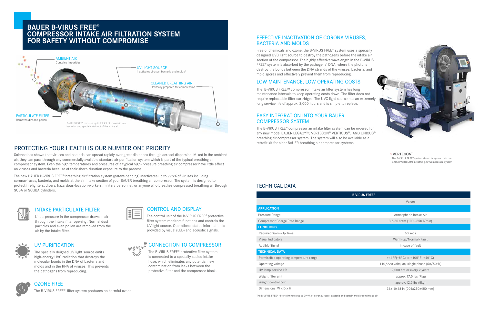# EFFECTIVE INACTIVATION OF CORONA VIRUSES, BACTERIA AND MOLDS

Free of chemicals and ozone, the B-VIRUS FREE® system uses a specially designed UVC light source to destroy the pathogens before the intake air section of the compressor. The highly effective wavelength in the B-VIRUS FREE® system is absorbed by the pathogens' DNA, where the photons destroy the bonds between the DNA strands of the viruses, bacteria, and mold spores and effectively prevent them from reproducing.

# LOW MAINTENANCE, LOW OPERATING COSTS

The B-VIRUS FREE™ compressor intake air filter system has long maintenance intervals to keep operating costs down. The filter does not require replaceable filter cartridges. The UVC light source has an extremely long service life of approx. 2,000 hours and is simple to replace.

# EASY INTEGRATION INTO YOUR BAUER COMPRESSOR SYSTEM

**CONNECTION TO COMPRESSOR**<br>  $\frac{1}{2}$  The B-VIRUS FREE® protective filter system The B-VIRUS FREE® protective filter system is connected to a specially sealed intake hose, which eliminates any potential new contamination from leaks between the protective filter and the compressor block.

The B-VIRUS FREE® compressor air intake filter system can be ordered for any new model BAUER LEGACY™, VERTECON® VERTICUS®, AND UNICUS® breathing air compressor system. The system will also be available as a retrofit kit for older BAUER breathing air compressor systems.

### UV PURIFICATION

The specially deigned UV light source emits high-energy UVC radiation that destroys the molecular bonds in the DNA of bacteria and molds and in the RNA of viruses. This prevents the pathogens from reproducing.



Underpressure in the compressor draws in air through the intake filter opening. Normal dust particles and even pollen are removed from the air by the intake filter.



| <b>B-VIRUS FREE®</b>                    |                                           |
|-----------------------------------------|-------------------------------------------|
|                                         | Values                                    |
| <b>APPLICATION</b>                      |                                           |
| Pressure Range                          | Atmospheric Intake Air                    |
| <b>Compressor Charge Rate Range</b>     | 3.5-30 scfm $(100 - 850$ I/min)           |
| <b>FUNCTIONS</b>                        |                                           |
| Required Warm-Up Time                   | 60 secs                                   |
| <b>Visual Indicators</b>                | Warm-up/Normal/Fault                      |
| Audible Signal                          | in case of fault                          |
| <b>TECHNICAL DATA</b>                   |                                           |
| Permissible operating temperature range | +41°F(+5°C) to +105°F (+40°C)             |
| Operating voltage                       | 110/220 volts, ac, single phase (60/50Hz) |
| UV lamp service life                    | 2,000 hrs or every 2 years                |
| Weight filter unit                      | approx. $17.5$ lbs $(7kg)$                |
| Weight control box                      | approx. $12.5$ lbs $(5kg)$                |
| Dimensions $W \times D \times H$        | 36x10x18 in (905x250x450 mm)              |

#### OZONE FREE

The B-VIRUS FREE® filter system produces no harmful ozone.



# CONTROL AND DISPLAY

The control unit of the B-VIRUS FREE® protective filter system monitors functions and controls the UV light source. Operational status information is provided by visual (LED) and acoustic signals.



# **BAUER B-VIRUS FREE**® **COMPRESSOR INTAKE AIR FILTRATION SYSTEM FOR SAFETY WITHOUT COMPROMISE**

Science has shown that viruses and bacteria can spread rapidly over great distances through aerosol dispersion. Mixed in the ambient air, they can pass through any commercially available standard air purification system which is part of the typical breathing air compressor system. Even the high temperatures and pressures of a typical high- pressure breathing air compressor have little effect on viruses and bacteria because of their short- duration exposure to the process.

The new BAUER B-VIRUS FREE® breathing air filtration system (patent-pending) inactivates up to 99.9% of viruses including coronaviruses, bacteria, and molds at the air intake section of your BAUER breathing air compressor. The system is designed to protect firefighters, divers, hazardous-location-workers, military personnel, or anyone who breathes compressed breathing air through SCBA or SCUBA cylinders.

### **INTAKE PARTICULATE FILTER**

# PROTECTING YOUR HEALTH IS OUR NUMBER ONE PRIORITY



### TECHNICAL DATA

| <b>B-VIRUS FREE®</b> |                                           |
|----------------------|-------------------------------------------|
|                      | Values                                    |
|                      |                                           |
|                      | Atmospheric Intake Air                    |
|                      | 3.5-30 scfm $(100 - 850$ l/min)           |
|                      |                                           |
|                      | 60 secs                                   |
|                      | Warm-up/Normal/Fault                      |
|                      | in case of fault                          |
|                      |                                           |
|                      | +41°F(+5°C) to +105°F (+40°C)             |
|                      | 110/220 volts, ac, single phase (60/50Hz) |
|                      | 2,000 hrs or every 2 years                |
|                      | approx. $17.5$ lbs $(7kg)$                |
|                      | approx. $12.5$ lbs $(5kg)$                |
|                      | 36x10x18 in (905x250x450 mm)              |

The B-VIRUS FREE® filter eliminates up to 99.9% of coronaviruses, bacteria and certain molds from intake air.



The B-VIRUS FREE™ system shown integrated into the BAUER VERTECON® Breathing Air Compressor System

#### **› VERTECON**®